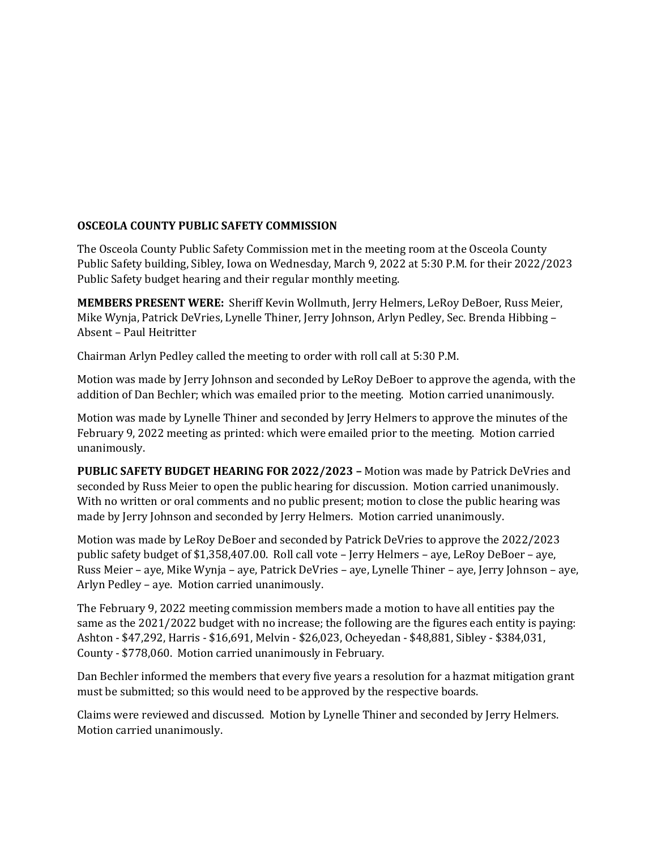## **OSCEOLA COUNTY PUBLIC SAFETY COMMISSION**

The Osceola County Public Safety Commission met in the meeting room at the Osceola County Public Safety building, Sibley, Iowa on Wednesday, March 9, 2022 at 5:30 P.M. for their 2022/2023 Public Safety budget hearing and their regular monthly meeting.

**MEMBERS PRESENT WERE:** Sheriff Kevin Wollmuth, Jerry Helmers, LeRoy DeBoer, Russ Meier, Mike Wynja, Patrick DeVries, Lynelle Thiner, Jerry Johnson, Arlyn Pedley, Sec. Brenda Hibbing – Absent – Paul Heitritter

Chairman Arlyn Pedley called the meeting to order with roll call at 5:30 P.M.

Motion was made by Jerry Johnson and seconded by LeRoy DeBoer to approve the agenda, with the addition of Dan Bechler; which was emailed prior to the meeting. Motion carried unanimously.

Motion was made by Lynelle Thiner and seconded by Jerry Helmers to approve the minutes of the February 9, 2022 meeting as printed: which were emailed prior to the meeting. Motion carried unanimously.

**PUBLIC SAFETY BUDGET HEARING FOR 2022/2023 –** Motion was made by Patrick DeVries and seconded by Russ Meier to open the public hearing for discussion. Motion carried unanimously. With no written or oral comments and no public present; motion to close the public hearing was made by Jerry Johnson and seconded by Jerry Helmers. Motion carried unanimously.

Motion was made by LeRoy DeBoer and seconded by Patrick DeVries to approve the 2022/2023 public safety budget of \$1,358,407.00. Roll call vote – Jerry Helmers – aye, LeRoy DeBoer – aye, Russ Meier – aye, Mike Wynja – aye, Patrick DeVries – aye, Lynelle Thiner – aye, Jerry Johnson – aye, Arlyn Pedley – aye. Motion carried unanimously.

The February 9, 2022 meeting commission members made a motion to have all entities pay the same as the 2021/2022 budget with no increase; the following are the figures each entity is paying: Ashton - \$47,292, Harris - \$16,691, Melvin - \$26,023, Ocheyedan - \$48,881, Sibley - \$384,031, County - \$778,060. Motion carried unanimously in February.

Dan Bechler informed the members that every five years a resolution for a hazmat mitigation grant must be submitted; so this would need to be approved by the respective boards.

Claims were reviewed and discussed. Motion by Lynelle Thiner and seconded by Jerry Helmers. Motion carried unanimously.